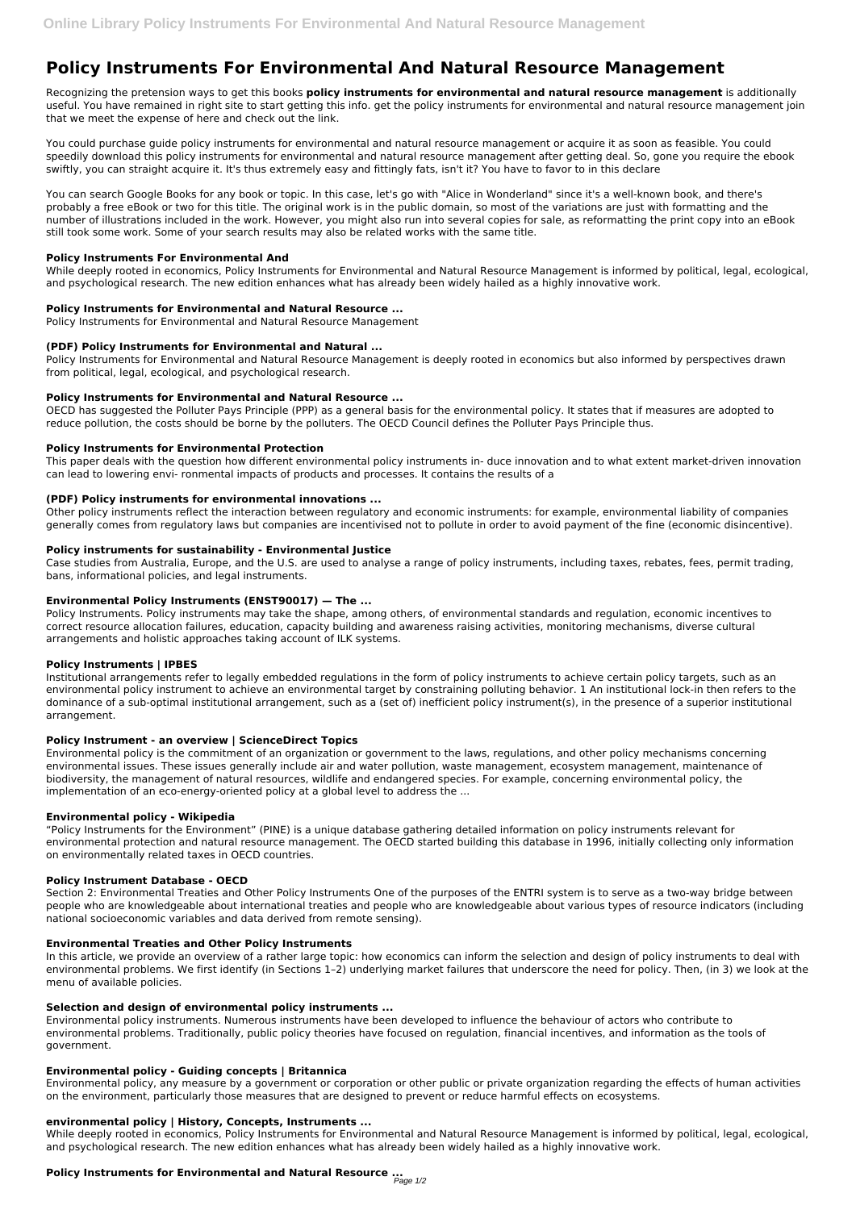# **Policy Instruments For Environmental And Natural Resource Management**

Recognizing the pretension ways to get this books **policy instruments for environmental and natural resource management** is additionally useful. You have remained in right site to start getting this info. get the policy instruments for environmental and natural resource management join that we meet the expense of here and check out the link.

You could purchase guide policy instruments for environmental and natural resource management or acquire it as soon as feasible. You could speedily download this policy instruments for environmental and natural resource management after getting deal. So, gone you require the ebook swiftly, you can straight acquire it. It's thus extremely easy and fittingly fats, isn't it? You have to favor to in this declare

You can search Google Books for any book or topic. In this case, let's go with "Alice in Wonderland" since it's a well-known book, and there's probably a free eBook or two for this title. The original work is in the public domain, so most of the variations are just with formatting and the number of illustrations included in the work. However, you might also run into several copies for sale, as reformatting the print copy into an eBook still took some work. Some of your search results may also be related works with the same title.

## **Policy Instruments For Environmental And**

While deeply rooted in economics, Policy Instruments for Environmental and Natural Resource Management is informed by political, legal, ecological, and psychological research. The new edition enhances what has already been widely hailed as a highly innovative work.

## **Policy Instruments for Environmental and Natural Resource ...**

Policy Instruments for Environmental and Natural Resource Management

## **(PDF) Policy Instruments for Environmental and Natural ...**

Policy Instruments for Environmental and Natural Resource Management is deeply rooted in economics but also informed by perspectives drawn from political, legal, ecological, and psychological research.

## **Policy Instruments for Environmental and Natural Resource ...**

OECD has suggested the Polluter Pays Principle (PPP) as a general basis for the environmental policy. It states that if measures are adopted to reduce pollution, the costs should be borne by the polluters. The OECD Council defines the Polluter Pays Principle thus.

## **Policy Instruments for Environmental Protection**

This paper deals with the question how different environmental policy instruments in- duce innovation and to what extent market-driven innovation can lead to lowering envi- ronmental impacts of products and processes. It contains the results of a

## **(PDF) Policy instruments for environmental innovations ...**

Other policy instruments reflect the interaction between regulatory and economic instruments: for example, environmental liability of companies generally comes from regulatory laws but companies are incentivised not to pollute in order to avoid payment of the fine (economic disincentive).

In this article, we provide an overview of a rather large topic: how economics can inform the selection and design of policy instruments to deal with environmental problems. We first identify (in Sections 1–2) underlying market failures that underscore the need for policy. Then, (in 3) we look at the menu of available policies.

#### **Policy instruments for sustainability - Environmental Justice**

Case studies from Australia, Europe, and the U.S. are used to analyse a range of policy instruments, including taxes, rebates, fees, permit trading, bans, informational policies, and legal instruments.

#### **Environmental Policy Instruments (ENST90017) — The ...**

Policy Instruments. Policy instruments may take the shape, among others, of environmental standards and regulation, economic incentives to correct resource allocation failures, education, capacity building and awareness raising activities, monitoring mechanisms, diverse cultural arrangements and holistic approaches taking account of ILK systems.

#### **Policy Instruments | IPBES**

Institutional arrangements refer to legally embedded regulations in the form of policy instruments to achieve certain policy targets, such as an environmental policy instrument to achieve an environmental target by constraining polluting behavior. 1 An institutional lock-in then refers to the dominance of a sub-optimal institutional arrangement, such as a (set of) inefficient policy instrument(s), in the presence of a superior institutional arrangement.

## **Policy Instrument - an overview | ScienceDirect Topics**

Environmental policy is the commitment of an organization or government to the laws, regulations, and other policy mechanisms concerning environmental issues. These issues generally include air and water pollution, waste management, ecosystem management, maintenance of biodiversity, the management of natural resources, wildlife and endangered species. For example, concerning environmental policy, the implementation of an eco-energy-oriented policy at a global level to address the ...

## **Environmental policy - Wikipedia**

"Policy Instruments for the Environment" (PINE) is a unique database gathering detailed information on policy instruments relevant for environmental protection and natural resource management. The OECD started building this database in 1996, initially collecting only information on environmentally related taxes in OECD countries.

#### **Policy Instrument Database - OECD**

Section 2: Environmental Treaties and Other Policy Instruments One of the purposes of the ENTRI system is to serve as a two-way bridge between people who are knowledgeable about international treaties and people who are knowledgeable about various types of resource indicators (including

national socioeconomic variables and data derived from remote sensing).

#### **Environmental Treaties and Other Policy Instruments**

#### **Selection and design of environmental policy instruments ...**

Environmental policy instruments. Numerous instruments have been developed to influence the behaviour of actors who contribute to environmental problems. Traditionally, public policy theories have focused on regulation, financial incentives, and information as the tools of government.

#### **Environmental policy - Guiding concepts | Britannica**

Environmental policy, any measure by a government or corporation or other public or private organization regarding the effects of human activities on the environment, particularly those measures that are designed to prevent or reduce harmful effects on ecosystems.

#### **environmental policy | History, Concepts, Instruments ...**

While deeply rooted in economics, Policy Instruments for Environmental and Natural Resource Management is informed by political, legal, ecological, and psychological research. The new edition enhances what has already been widely hailed as a highly innovative work.

# **Policy Instruments for Environmental and Natural Resource ...** Page 1/2